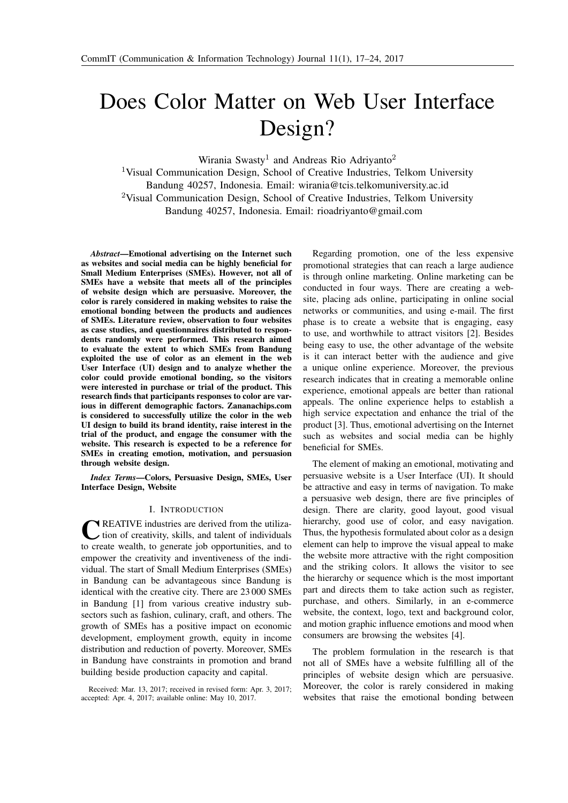# Does Color Matter on Web User Interface Design?

Wirania Swasty<sup>1</sup> and Andreas Rio Adriyanto<sup>2</sup>

<sup>1</sup>Visual Communication Design, School of Creative Industries, Telkom University Bandung 40257, Indonesia. Email: [wirania@tcis.telkomuniversity.ac.id](mailto: wirania@tcis.telkomuniversity.ac.id) <sup>2</sup>Visual Communication Design, School of Creative Industries, Telkom University Bandung 40257, Indonesia. Email: [rioadriyanto@gmail.com](mailto: rioadriyanto@gmail.com)

<span id="page-0-0"></span>*Abstract*—Emotional advertising on the Internet such as websites and social media can be highly beneficial for Small Medium Enterprises (SMEs). However, not all of SMEs have a website that meets all of the principles of website design which are persuasive. Moreover, the color is rarely considered in making websites to raise the emotional bonding between the products and audiences of SMEs. Literature review, observation to four websites as case studies, and questionnaires distributed to respondents randomly were performed. This research aimed to evaluate the extent to which SMEs from Bandung exploited the use of color as an element in the web User Interface (UI) design and to analyze whether the color could provide emotional bonding, so the visitors were interested in purchase or trial of the product. This research finds that participants responses to color are various in different demographic factors. Zananachips.com is considered to successfully utilize the color in the web UI design to build its brand identity, raise interest in the trial of the product, and engage the consumer with the website. This research is expected to be a reference for SMEs in creating emotion, motivation, and persuasion through website design.

*Index Terms*—Colors, Persuasive Design, SMEs, User Interface Design, Website

### I. INTRODUCTION

C REATIVE industries are derived from the utiliza-<br>tion of creativity, skills, and talent of individuals tion of creativity, skills, and talent of individuals to create wealth, to generate job opportunities, and to empower the creativity and inventiveness of the individual. The start of Small Medium Enterprises (SMEs) in Bandung can be advantageous since Bandung is identical with the creative city. There are 23 000 SMEs in Bandung [\[1\]](#page-6-1) from various creative industry subsectors such as fashion, culinary, craft, and others. The growth of SMEs has a positive impact on economic development, employment growth, equity in income distribution and reduction of poverty. Moreover, SMEs in Bandung have constraints in promotion and brand building beside production capacity and capital.

Regarding promotion, one of the less expensive promotional strategies that can reach a large audience is through online marketing. Online marketing can be conducted in four ways. There are creating a website, placing ads online, participating in online social networks or communities, and using e-mail. The first phase is to create a website that is engaging, easy to use, and worthwhile to attract visitors [\[2\]](#page-6-2). Besides being easy to use, the other advantage of the website is it can interact better with the audience and give a unique online experience. Moreover, the previous research indicates that in creating a memorable online experience, emotional appeals are better than rational appeals. The online experience helps to establish a high service expectation and enhance the trial of the product [\[3\]](#page-6-3). Thus, emotional advertising on the Internet such as websites and social media can be highly beneficial for SMEs.

The element of making an emotional, motivating and persuasive website is a User Interface (UI). It should be attractive and easy in terms of navigation. To make a persuasive web design, there are five principles of design. There are clarity, good layout, good visual hierarchy, good use of color, and easy navigation. Thus, the hypothesis formulated about color as a design element can help to improve the visual appeal to make the website more attractive with the right composition and the striking colors. It allows the visitor to see the hierarchy or sequence which is the most important part and directs them to take action such as register, purchase, and others. Similarly, in an e-commerce website, the context, logo, text and background color, and motion graphic influence emotions and mood when consumers are browsing the websites [\[4\]](#page-6-4).

The problem formulation in the research is that not all of SMEs have a website fulfilling all of the principles of website design which are persuasive. Moreover, the color is rarely considered in making websites that raise the emotional bonding between

Received: Mar. 13, 2017; received in revised form: Apr. 3, 2017; accepted: Apr. 4, 2017; available online: May 10, 2017.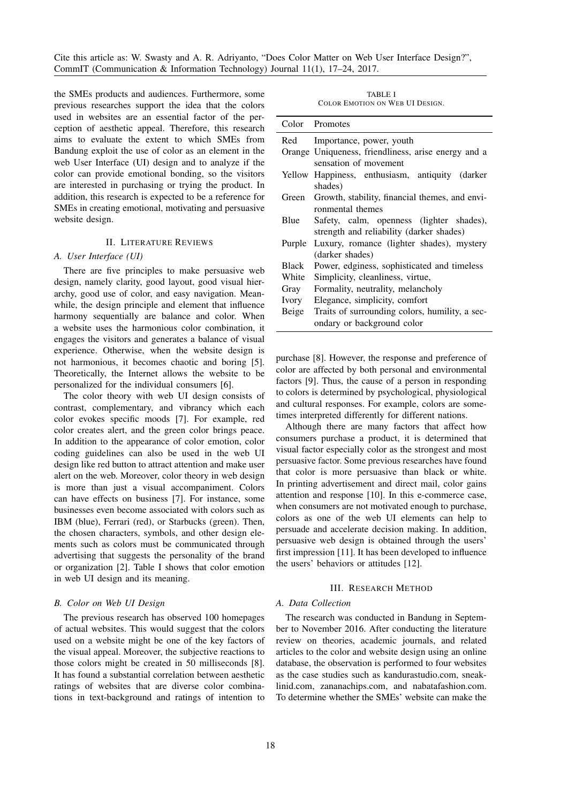Cite this article as: W. Swasty and A. R. Adriyanto, "Does Color Matter on Web User Interface Design?", CommIT (Communication & Information Technology) Journal 11(1), [17](#page-0-0)[–24,](#page-6-0) 2017.

the SMEs products and audiences. Furthermore, some previous researches support the idea that the colors used in websites are an essential factor of the perception of aesthetic appeal. Therefore, this research aims to evaluate the extent to which SMEs from Bandung exploit the use of color as an element in the web User Interface (UI) design and to analyze if the color can provide emotional bonding, so the visitors are interested in purchasing or trying the product. In addition, this research is expected to be a reference for SMEs in creating emotional, motivating and persuasive website design.

# II. LITERATURE REVIEWS

# *A. User Interface (UI)*

There are five principles to make persuasive web design, namely clarity, good layout, good visual hierarchy, good use of color, and easy navigation. Meanwhile, the design principle and element that influence harmony sequentially are balance and color. When a website uses the harmonious color combination, it engages the visitors and generates a balance of visual experience. Otherwise, when the website design is not harmonious, it becomes chaotic and boring [\[5\]](#page-6-5). Theoretically, the Internet allows the website to be personalized for the individual consumers [\[6\]](#page-6-6).

The color theory with web UI design consists of contrast, complementary, and vibrancy which each color evokes specific moods [\[7\]](#page-6-7). For example, red color creates alert, and the green color brings peace. In addition to the appearance of color emotion, color coding guidelines can also be used in the web UI design like red button to attract attention and make user alert on the web. Moreover, color theory in web design is more than just a visual accompaniment. Colors can have effects on business [\[7\]](#page-6-7). For instance, some businesses even become associated with colors such as IBM (blue), Ferrari (red), or Starbucks (green). Then, the chosen characters, symbols, and other design elements such as colors must be communicated through advertising that suggests the personality of the brand or organization [2]. Table [I](#page-1-0) shows that color emotion in web UI design and its meaning.

#### *B. Color on Web UI Design*

The previous research has observed 100 homepages of actual websites. This would suggest that the colors used on a website might be one of the key factors of the visual appeal. Moreover, the subjective reactions to those colors might be created in 50 milliseconds [\[8\]](#page-6-8). It has found a substantial correlation between aesthetic ratings of websites that are diverse color combinations in text-background and ratings of intention to

| TABLE I                         |  |  |  |  |  |  |
|---------------------------------|--|--|--|--|--|--|
| COLOR EMOTION ON WEB UI DESIGN. |  |  |  |  |  |  |

<span id="page-1-0"></span>

|        | Color Promotes                                      |
|--------|-----------------------------------------------------|
| Red    | Importance, power, youth                            |
|        | Orange Uniqueness, friendliness, arise energy and a |
|        | sensation of movement                               |
|        | Yellow Happiness, enthusiasm, antiquity (darker     |
|        | shades)                                             |
| Green  | Growth, stability, financial themes, and envi-      |
|        | ronmental themes                                    |
| Blue   | Safety, calm, openness (lighter shades),            |
|        | strength and reliability (darker shades)            |
| Purple | Luxury, romance (lighter shades), mystery           |
|        | (darker shades)                                     |
| Black  | Power, edginess, sophisticated and timeless         |
| White  | Simplicity, cleanliness, virtue,                    |
| Gray   | Formality, neutrality, melancholy                   |
| Ivory  | Elegance, simplicity, comfort                       |
| Beige  | Traits of surrounding colors, humility, a sec-      |
|        | ondary or background color                          |

purchase [\[8\]](#page-6-8). However, the response and preference of color are affected by both personal and environmental factors [\[9\]](#page-7-0). Thus, the cause of a person in responding to colors is determined by psychological, physiological and cultural responses. For example, colors are sometimes interpreted differently for different nations.

Although there are many factors that affect how consumers purchase a product, it is determined that visual factor especially color as the strongest and most persuasive factor. Some previous researches have found that color is more persuasive than black or white. In printing advertisement and direct mail, color gains attention and response [\[10\]](#page-7-1). In this e-commerce case, when consumers are not motivated enough to purchase, colors as one of the web UI elements can help to persuade and accelerate decision making. In addition, persuasive web design is obtained through the users' first impression [\[11\]](#page-7-2). It has been developed to influence the users' behaviors or attitudes [\[12\]](#page-7-3).

## III. RESEARCH METHOD

# *A. Data Collection*

The research was conducted in Bandung in September to November 2016. After conducting the literature review on theories, academic journals, and related articles to the color and website design using an online database, the observation is performed to four websites as the case studies such as kandurastudio.com, sneaklinid.com, zananachips.com, and nabatafashion.com. To determine whether the SMEs' website can make the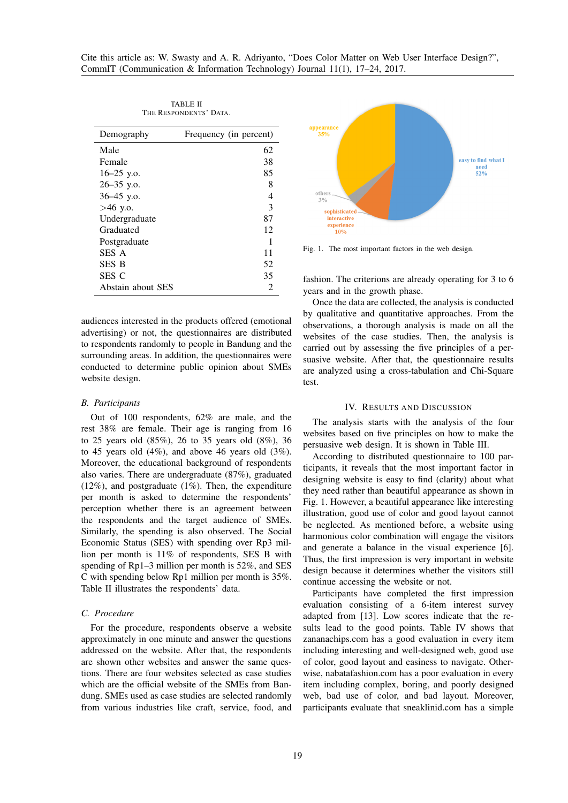<span id="page-2-0"></span>

| Demography        | Frequency (in percent) |
|-------------------|------------------------|
| Male              | 62                     |
| Female            | 38                     |
| $16 - 25$ y.o.    | 85                     |
| 26-35 y.o.        | 8                      |
| $36-45$ y.o.      | 4                      |
| $>46$ y.o.        | 3                      |
| Undergraduate     | 87                     |
| Graduated         | 12                     |
| Postgraduate      | 1                      |
| SES A             | 11                     |
| <b>SES B</b>      | 52                     |
| SES C             | 35                     |
| Abstain about SES | 2                      |

TABLE II THE RESPONDENTS' DATA.

audiences interested in the products offered (emotional advertising) or not, the questionnaires are distributed to respondents randomly to people in Bandung and the surrounding areas. In addition, the questionnaires were conducted to determine public opinion about SMEs website design.

#### *B. Participants*

Out of 100 respondents, 62% are male, and the rest 38% are female. Their age is ranging from 16 to 25 years old (85%), 26 to 35 years old (8%), 36 to 45 years old  $(4\%)$ , and above 46 years old  $(3\%)$ . Moreover, the educational background of respondents also varies. There are undergraduate (87%), graduated  $(12\%)$ , and postgraduate  $(1\%)$ . Then, the expenditure per month is asked to determine the respondents' perception whether there is an agreement between the respondents and the target audience of SMEs. Similarly, the spending is also observed. The Social Economic Status (SES) with spending over Rp3 million per month is 11% of respondents, SES B with spending of Rp1–3 million per month is 52%, and SES C with spending below Rp1 million per month is 35%. Table [II](#page-2-0) illustrates the respondents' data.

# *C. Procedure*

For the procedure, respondents observe a website approximately in one minute and answer the questions addressed on the website. After that, the respondents are shown other websites and answer the same questions. There are four websites selected as case studies which are the official website of the SMEs from Bandung. SMEs used as case studies are selected randomly from various industries like craft, service, food, and



<span id="page-2-1"></span>Fig. 1. The most important factors in the web design.

fashion. The criterions are already operating for 3 to 6 years and in the growth phase.

Once the data are collected, the analysis is conducted by qualitative and quantitative approaches. From the observations, a thorough analysis is made on all the websites of the case studies. Then, the analysis is carried out by assessing the five principles of a persuasive website. After that, the questionnaire results are analyzed using a cross-tabulation and Chi-Square test.

# IV. RESULTS AND DISCUSSION

The analysis starts with the analysis of the four websites based on five principles on how to make the persuasive web design. It is shown in Table [III.](#page-3-0)

According to distributed questionnaire to 100 participants, it reveals that the most important factor in designing website is easy to find (clarity) about what they need rather than beautiful appearance as shown in Fig. [1.](#page-2-1) However, a beautiful appearance like interesting illustration, good use of color and good layout cannot be neglected. As mentioned before, a website using harmonious color combination will engage the visitors and generate a balance in the visual experience [\[6\]](#page-6-6). Thus, the first impression is very important in website design because it determines whether the visitors still continue accessing the website or not.

Participants have completed the first impression evaluation consisting of a 6-item interest survey adapted from [\[13\]](#page-7-4). Low scores indicate that the results lead to the good points. Table [IV](#page-3-1) shows that zananachips.com has a good evaluation in every item including interesting and well-designed web, good use of color, good layout and easiness to navigate. Otherwise, nabatafashion.com has a poor evaluation in every item including complex, boring, and poorly designed web, bad use of color, and bad layout. Moreover, participants evaluate that sneaklinid.com has a simple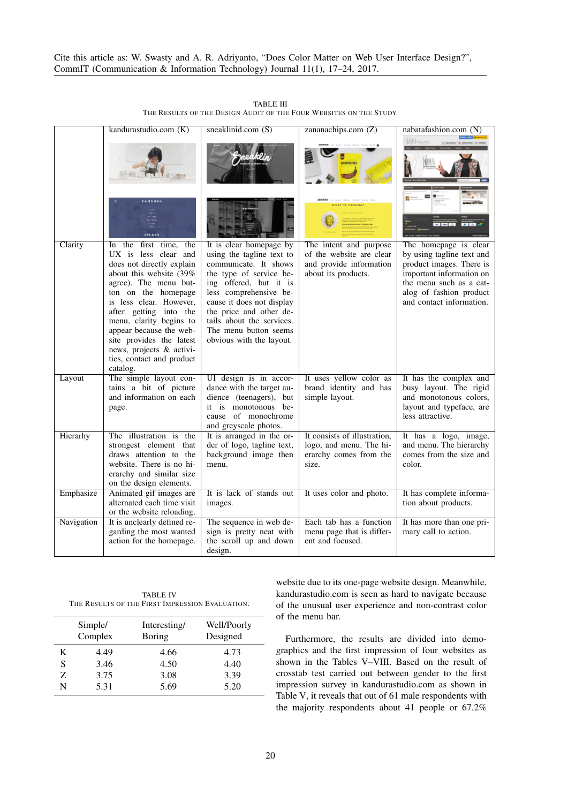<span id="page-3-0"></span>

|            | kandurastudio.com (K)                                                                                                                                                                                                                                                                                                                                                                 | sneaklinid.com $(S)$                                                                                                                                                                                                                                                                                   | zananachips.com $(Z)$                                                                                                 | nabatafashion.com (N)                                                                                                                                                                                        |
|------------|---------------------------------------------------------------------------------------------------------------------------------------------------------------------------------------------------------------------------------------------------------------------------------------------------------------------------------------------------------------------------------------|--------------------------------------------------------------------------------------------------------------------------------------------------------------------------------------------------------------------------------------------------------------------------------------------------------|-----------------------------------------------------------------------------------------------------------------------|--------------------------------------------------------------------------------------------------------------------------------------------------------------------------------------------------------------|
| Clarity    | KANDURA<br><b>STUDIO</b><br>In the first time,<br>the<br>UX is less clear and<br>does not directly explain<br>about this website (39%<br>agree). The menu but-<br>ton on the homepage<br>is less clear. However,<br>after getting into the<br>menu, clarity begins to<br>appear because the web-<br>site provides the latest<br>news, projects & activi-<br>ties, contact and product | It is clear homepage by<br>using the tagline text to<br>communicate. It shows<br>the type of service be-<br>ing offered, but it is<br>less comprehensive be-<br>cause it does not display<br>the price and other de-<br>tails about the services.<br>The menu button seems<br>obvious with the layout. | HAT IS TANANA<br>The intent and purpose<br>of the website are clear<br>and provide information<br>about its products. | <b>Juana</b><br>The homepage is clear<br>by using tagline text and<br>product images. There is<br>important information on<br>the menu such as a cat-<br>alog of fashion product<br>and contact information. |
| Layout     | catalog.<br>The simple layout con-<br>tains a bit of picture<br>and information on each<br>page.                                                                                                                                                                                                                                                                                      | UI design is in accor-<br>dance with the target au-<br>dience (teenagers), but<br>it is monotonous be-<br>cause of monochrome<br>and greyscale photos.                                                                                                                                                 | It uses yellow color as<br>brand identity and has<br>simple layout.                                                   | It has the complex and<br>busy layout. The rigid<br>and monotonous colors,<br>layout and typeface, are<br>less attractive.                                                                                   |
| Hierarhy   | The illustration is the<br>strongest element that<br>draws attention to the<br>website. There is no hi-<br>erarchy and similar size<br>on the design elements.                                                                                                                                                                                                                        | It is arranged in the or-<br>der of logo, tagline text,<br>background image then<br>menu.                                                                                                                                                                                                              | It consists of illustration,<br>logo, and menu. The hi-<br>erarchy comes from the<br>size.                            | It has a logo, image,<br>and menu. The hierarchy<br>comes from the size and<br>color.                                                                                                                        |
| Emphasize  | Animated gif images are<br>alternated each time visit<br>or the website reloading.                                                                                                                                                                                                                                                                                                    | It is lack of stands out<br>images.                                                                                                                                                                                                                                                                    | It uses color and photo.                                                                                              | It has complete informa-<br>tion about products.                                                                                                                                                             |
| Navigation | It is unclearly defined re-<br>garding the most wanted<br>action for the homepage.                                                                                                                                                                                                                                                                                                    | The sequence in web de-<br>sign is pretty neat with<br>the scroll up and down<br>design.                                                                                                                                                                                                               | Each tab has a function<br>menu page that is differ-<br>ent and focused.                                              | It has more than one pri-<br>mary call to action.                                                                                                                                                            |

TABLE III THE RESULTS OF THE DESIGN AUDIT OF THE FOUR WEBSITES ON THE STUDY.

<span id="page-3-1"></span>TABLE IV THE RESULTS OF THE FIRST IMPRESSION EVALUATION.

|   | Simple/<br>Complex | Interesting/<br><b>Boring</b> | Well/Poorly<br>Designed |
|---|--------------------|-------------------------------|-------------------------|
| K | 4.49               | 4.66                          | 4.73                    |
| S | 3.46               | 4.50                          | 4.40                    |
| Z | 3.75               | 3.08                          | 3.39                    |
| N | 5.31               | 5.69                          | 5.20                    |

website due to its one-page website design. Meanwhile, kandurastudio.com is seen as hard to navigate because of the unusual user experience and non-contrast color of the menu bar.

Furthermore, the results are divided into demographics and the first impression of four websites as shown in the Tables [V](#page-4-0)[–VIII.](#page-5-0) Based on the result of crosstab test carried out between gender to the first impression survey in kandurastudio.com as shown in Table [V,](#page-4-0) it reveals that out of 61 male respondents with the majority respondents about 41 people or 67.2%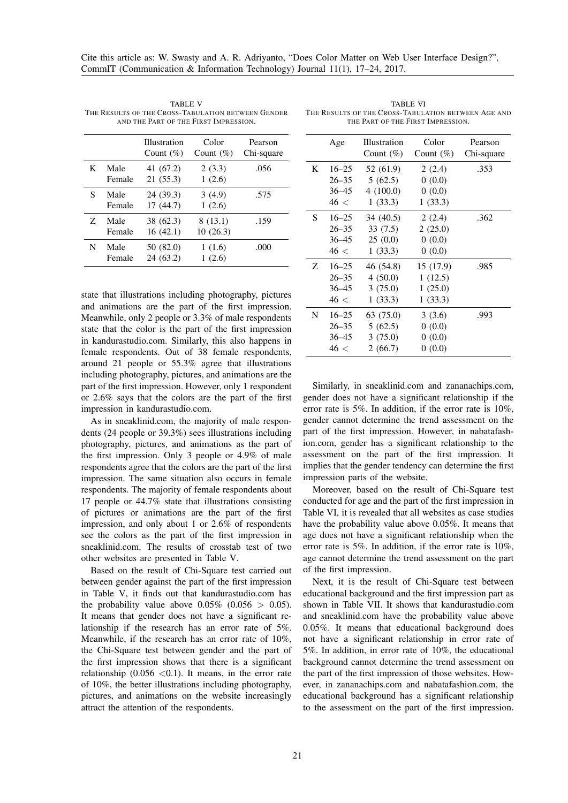|   |                | <b>Illustration</b><br>Count $(\%)$ | Color<br>Count $(\%)$ | Pearson<br>Chi-square |
|---|----------------|-------------------------------------|-----------------------|-----------------------|
| K | Male<br>Female | 41 (67.2)<br>21(55.3)               | 2(3.3)<br>1(2.6)      | .056                  |
| S | Male<br>Female | 24 (39.3)<br>17 (44.7)              | 3(4.9)<br>1(2.6)      | .575                  |
| Z | Male<br>Female | 38 (62.3)<br>16(42.1)               | 8(13.1)<br>10 (26.3)  | .159                  |
| N | Male<br>Female | 50 (82.0)<br>24 (63.2)              | 1(1.6)<br>1(2.6)      | .000                  |

<span id="page-4-0"></span>TABLE V THE RESULTS OF THE CROSS-TABULATION BETWEEN GENDER AND THE PART OF THE FIRST IMPRESSION.

state that illustrations including photography, pictures and animations are the part of the first impression. Meanwhile, only 2 people or 3.3% of male respondents state that the color is the part of the first impression in kandurastudio.com. Similarly, this also happens in female respondents. Out of 38 female respondents, around 21 people or 55.3% agree that illustrations including photography, pictures, and animations are the part of the first impression. However, only 1 respondent or 2.6% says that the colors are the part of the first impression in kandurastudio.com.

As in sneaklinid.com, the majority of male respondents (24 people or 39.3%) sees illustrations including photography, pictures, and animations as the part of the first impression. Only 3 people or 4.9% of male respondents agree that the colors are the part of the first impression. The same situation also occurs in female respondents. The majority of female respondents about 17 people or 44.7% state that illustrations consisting of pictures or animations are the part of the first impression, and only about 1 or 2.6% of respondents see the colors as the part of the first impression in sneaklinid.com. The results of crosstab test of two other websites are presented in Table [V.](#page-4-0)

Based on the result of Chi-Square test carried out between gender against the part of the first impression in Table [V,](#page-4-0) it finds out that kandurastudio.com has the probability value above  $0.05\%$   $(0.056 > 0.05)$ . It means that gender does not have a significant relationship if the research has an error rate of 5%. Meanwhile, if the research has an error rate of 10%, the Chi-Square test between gender and the part of the first impression shows that there is a significant relationship  $(0.056 \le 0.1)$ . It means, in the error rate of 10%, the better illustrations including photography, pictures, and animations on the website increasingly attract the attention of the respondents.

<span id="page-4-1"></span>TABLE VI THE RESULTS OF THE CROSS-TABULATION BETWEEN AGE AND THE PART OF THE FIRST IMPRESSION.

|   | Age       | <b>Illustration</b><br>Count $(\%)$ | Color<br>Count $(\%)$ | Pearson<br>Chi-square |
|---|-----------|-------------------------------------|-----------------------|-----------------------|
| K | $16 - 25$ | 52 (61.9)                           | 2(2.4)                | .353                  |
|   | $26 - 35$ | 5(62.5)                             | 0(0.0)                |                       |
|   | $36 - 45$ | 4(100.0)                            | 0(0.0)                |                       |
|   | 46 <      | 1(33.3)                             | 1(33.3)               |                       |
| S | $16 - 25$ | 34 (40.5)                           | 2(2.4)                | .362                  |
|   | $26 - 35$ | 33(7.5)                             | 2(25.0)               |                       |
|   | $36 - 45$ | 25(0.0)                             | 0(0.0)                |                       |
|   | 46 <      | 1(33.3)                             | 0(0.0)                |                       |
| Z | $16 - 25$ | 46 (54.8)                           | 15 (17.9)             | .985                  |
|   | $26 - 35$ | 4(50.0)                             | 1(12.5)               |                       |
|   | $36 - 45$ | 3(75.0)                             | 1(25.0)               |                       |
|   | 46 <      | 1(33.3)                             | 1(33.3)               |                       |
| N | $16 - 25$ | 63 (75.0)                           | 3(3.6)                | .993                  |
|   | $26 - 35$ | 5(62.5)                             | 0(0.0)                |                       |
|   | $36 - 45$ | 3(75.0)                             | 0(0.0)                |                       |
|   | 46 <      | 2(66.7)                             | 0(0.0)                |                       |

Similarly, in sneaklinid.com and zananachips.com, gender does not have a significant relationship if the error rate is 5%. In addition, if the error rate is 10%, gender cannot determine the trend assessment on the part of the first impression. However, in nabatafashion.com, gender has a significant relationship to the assessment on the part of the first impression. It implies that the gender tendency can determine the first impression parts of the website.

Moreover, based on the result of Chi-Square test conducted for age and the part of the first impression in Table [VI,](#page-4-1) it is revealed that all websites as case studies have the probability value above 0.05%. It means that age does not have a significant relationship when the error rate is 5%. In addition, if the error rate is 10%, age cannot determine the trend assessment on the part of the first impression.

Next, it is the result of Chi-Square test between educational background and the first impression part as shown in Table [VII.](#page-5-1) It shows that kandurastudio.com and sneaklinid.com have the probability value above 0.05%. It means that educational background does not have a significant relationship in error rate of 5%. In addition, in error rate of 10%, the educational background cannot determine the trend assessment on the part of the first impression of those websites. However, in zananachips.com and nabatafashion.com, the educational background has a significant relationship to the assessment on the part of the first impression.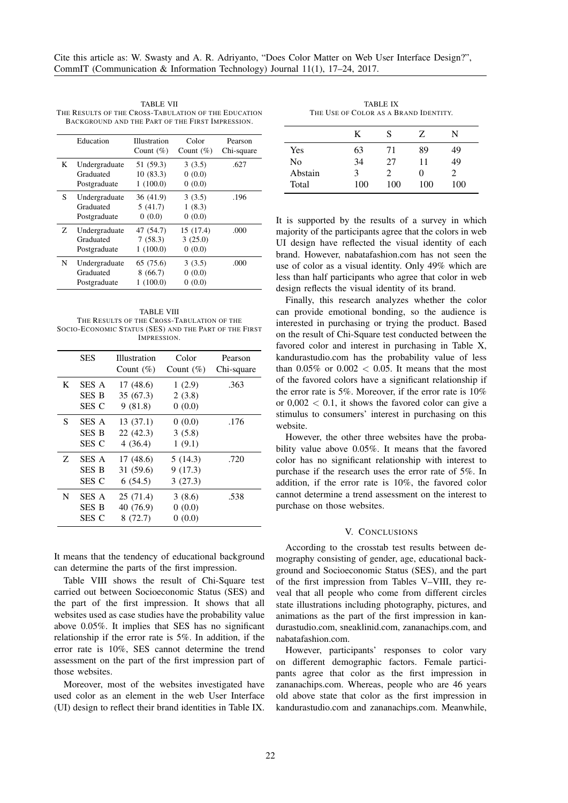<span id="page-5-1"></span>TABLE VII THE RESULTS OF THE CROSS-TABULATION OF THE EDUCATION BACKGROUND AND THE PART OF THE FIRST IMPRESSION.

|   | Education                                  | Illustration<br>Count $(\%)$      | Color<br>Count $(\%)$          | Pearson<br>Chi-square |
|---|--------------------------------------------|-----------------------------------|--------------------------------|-----------------------|
| K | Undergraduate<br>Graduated<br>Postgraduate | 51 (59.3)<br>10(83.3)<br>1(100.0) | 3(3.5)<br>0(0.0)<br>0(0.0)     | .627                  |
| S | Undergraduate<br>Graduated<br>Postgraduate | 36 (41.9)<br>5(41.7)<br>0(0.0)    | 3(3.5)<br>1(8.3)<br>0(0.0)     | .196                  |
| Z | Undergraduate<br>Graduated<br>Postgraduate | 47 (54.7)<br>7(58.3)<br>1(100.0)  | 15 (17.4)<br>3(25.0)<br>0(0.0) | .000                  |
| N | Undergraduate<br>Graduated<br>Postgraduate | 65 (75.6)<br>8(66.7)<br>1(100.0)  | 3(3.5)<br>0(0.0)<br>0(0.0)     | .000                  |

<span id="page-5-0"></span>TABLE VIII THE RESULTS OF THE CROSS-TABULATION OF THE SOCIO-ECONOMIC STATUS (SES) AND THE PART OF THE FIRST IMPRESSION.

|   | <b>SES</b>            | Illustration<br>Count $(\%)$ | Color<br>Count $(\%)$ | Pearson<br>Chi-square |
|---|-----------------------|------------------------------|-----------------------|-----------------------|
| K | SES A<br><b>SES B</b> | 17(48.6)<br>35(67.3)         | 1(2.9)<br>2(3.8)      | .363                  |
|   | SES C                 | 9(81.8)                      | 0(0.0)                |                       |
| S | SES A                 | 13(37.1)                     | 0(0.0)                | .176                  |
|   | <b>SES B</b>          | 22(42.3)                     | 3(5.8)                |                       |
|   | SES C                 | 4(36.4)                      | 1(9.1)                |                       |
| Z | SES A                 | 17(48.6)                     | 5(14.3)               | .720                  |
|   | <b>SES B</b>          | 31 (59.6)                    | 9(17.3)               |                       |
|   | SES C                 | 6(54.5)                      | 3(27.3)               |                       |
| N | SES A                 | 25 (71.4)                    | 3(8.6)                | .538                  |
|   | <b>SES B</b>          | 40 (76.9)                    | 0(0.0)                |                       |
|   | SES C                 | 8 (72.7)                     | 0(0.0)                |                       |

It means that the tendency of educational background can determine the parts of the first impression.

Table [VIII](#page-5-0) shows the result of Chi-Square test carried out between Socioeconomic Status (SES) and the part of the first impression. It shows that all websites used as case studies have the probability value above 0.05%. It implies that SES has no significant relationship if the error rate is 5%. In addition, if the error rate is 10%, SES cannot determine the trend assessment on the part of the first impression part of those websites.

Moreover, most of the websites investigated have used color as an element in the web User Interface (UI) design to reflect their brand identities in Table [IX.](#page-5-2)

TABLE IX THE USE OF COLOR AS A BRAND IDENTITY.

<span id="page-5-2"></span>

|         | K   | S   | Z.       | N   |
|---------|-----|-----|----------|-----|
| Yes     | 63  | 71  | 89       | 49  |
| No      | 34  | 27  | 11       | 49  |
| Abstain | 3   | 2   | $^{(1)}$ | 7   |
| Total   | 100 | 100 | 100      | 100 |

It is supported by the results of a survey in which majority of the participants agree that the colors in web UI design have reflected the visual identity of each brand. However, nabatafashion.com has not seen the use of color as a visual identity. Only 49% which are less than half participants who agree that color in web design reflects the visual identity of its brand.

Finally, this research analyzes whether the color can provide emotional bonding, so the audience is interested in purchasing or trying the product. Based on the result of Chi-Square test conducted between the favored color and interest in purchasing in Table [X,](#page-6-9) kandurastudio.com has the probability value of less than  $0.05\%$  or  $0.002 < 0.05$ . It means that the most of the favored colors have a significant relationship if the error rate is 5%. Moreover, if the error rate is 10% or  $0.002 < 0.1$ , it shows the favored color can give a stimulus to consumers' interest in purchasing on this website.

However, the other three websites have the probability value above 0.05%. It means that the favored color has no significant relationship with interest to purchase if the research uses the error rate of 5%. In addition, if the error rate is 10%, the favored color cannot determine a trend assessment on the interest to purchase on those websites.

#### V. CONCLUSIONS

According to the crosstab test results between demography consisting of gender, age, educational background and Socioeconomic Status (SES), and the part of the first impression from Tables [V–](#page-4-0)[VIII,](#page-5-0) they reveal that all people who come from different circles state illustrations including photography, pictures, and animations as the part of the first impression in kandurastudio.com, sneaklinid.com, zananachips.com, and nabatafashion.com.

However, participants' responses to color vary on different demographic factors. Female participants agree that color as the first impression in zananachips.com. Whereas, people who are 46 years old above state that color as the first impression in kandurastudio.com and zananachips.com. Meanwhile,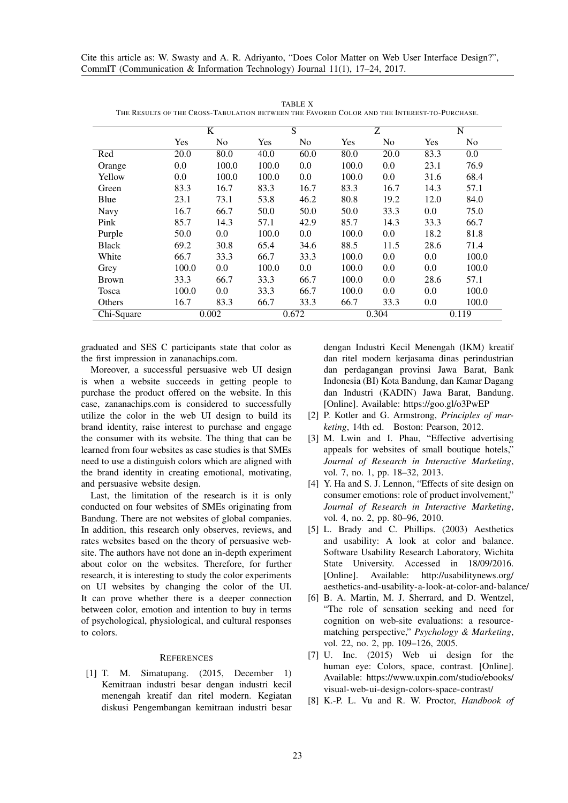<span id="page-6-9"></span>

|              |       | K              |            | S              |       | Z              |         | N     |
|--------------|-------|----------------|------------|----------------|-------|----------------|---------|-------|
|              | Yes   | N <sub>o</sub> | <b>Yes</b> | N <sub>0</sub> | Yes   | N <sub>o</sub> | Yes     | No    |
| Red          | 20.0  | 80.0           | 40.0       | 60.0           | 80.0  | 20.0           | 83.3    | 0.0   |
| Orange       | 0.0   | 100.0          | 100.0      | 0.0            | 100.0 | 0.0            | 23.1    | 76.9  |
| Yellow       | 0.0   | 100.0          | 100.0      | 0.0            | 100.0 | 0.0            | 31.6    | 68.4  |
| Green        | 83.3  | 16.7           | 83.3       | 16.7           | 83.3  | 16.7           | 14.3    | 57.1  |
| Blue         | 23.1  | 73.1           | 53.8       | 46.2           | 80.8  | 19.2           | 12.0    | 84.0  |
| Navy         | 16.7  | 66.7           | 50.0       | 50.0           | 50.0  | 33.3           | $0.0\,$ | 75.0  |
| Pink         | 85.7  | 14.3           | 57.1       | 42.9           | 85.7  | 14.3           | 33.3    | 66.7  |
| Purple       | 50.0  | 0.0            | 100.0      | 0.0            | 100.0 | 0.0            | 18.2    | 81.8  |
| <b>Black</b> | 69.2  | 30.8           | 65.4       | 34.6           | 88.5  | 11.5           | 28.6    | 71.4  |
| White        | 66.7  | 33.3           | 66.7       | 33.3           | 100.0 | 0.0            | 0.0     | 100.0 |
| Grey         | 100.0 | 0.0            | 100.0      | 0.0            | 100.0 | 0.0            | 0.0     | 100.0 |
| <b>Brown</b> | 33.3  | 66.7           | 33.3       | 66.7           | 100.0 | 0.0            | 28.6    | 57.1  |
| Tosca        | 100.0 | 0.0            | 33.3       | 66.7           | 100.0 | 0.0            | 0.0     | 100.0 |
| Others       | 16.7  | 83.3           | 66.7       | 33.3           | 66.7  | 33.3           | 0.0     | 100.0 |
| Chi-Square   |       | 0.002          |            | 0.672          |       | 0.304          |         | 0.119 |

TABLE X THE RESULTS OF THE CROSS-TABULATION BETWEEN THE FAVORED COLOR AND THE INTEREST-TO-PURCHASE.

graduated and SES C participants state that color as the first impression in zananachips.com.

Moreover, a successful persuasive web UI design is when a website succeeds in getting people to purchase the product offered on the website. In this case, zananachips.com is considered to successfully utilize the color in the web UI design to build its brand identity, raise interest to purchase and engage the consumer with its website. The thing that can be learned from four websites as case studies is that SMEs need to use a distinguish colors which are aligned with the brand identity in creating emotional, motivating, and persuasive website design.

Last, the limitation of the research is it is only conducted on four websites of SMEs originating from Bandung. There are not websites of global companies. In addition, this research only observes, reviews, and rates websites based on the theory of persuasive website. The authors have not done an in-depth experiment about color on the websites. Therefore, for further research, it is interesting to study the color experiments on UI websites by changing the color of the UI. It can prove whether there is a deeper connection between color, emotion and intention to buy in terms of psychological, physiological, and cultural responses to colors.

# <span id="page-6-0"></span>**REFERENCES**

<span id="page-6-1"></span>[1] T. M. Simatupang. (2015, December 1) Kemitraan industri besar dengan industri kecil menengah kreatif dan ritel modern. Kegiatan diskusi Pengembangan kemitraan industri besar dengan Industri Kecil Menengah (IKM) kreatif dan ritel modern kerjasama dinas perindustrian dan perdagangan provinsi Jawa Barat, Bank Indonesia (BI) Kota Bandung, dan Kamar Dagang dan Industri (KADIN) Jawa Barat, Bandung. [Online]. Available: <https://goo.gl/o3PwEP>

- <span id="page-6-2"></span>[2] P. Kotler and G. Armstrong, *Principles of marketing*, 14th ed. Boston: Pearson, 2012.
- <span id="page-6-3"></span>[3] M. Lwin and I. Phau, "Effective advertising appeals for websites of small boutique hotels, *Journal of Research in Interactive Marketing*, vol. 7, no. 1, pp. 18–32, 2013.
- <span id="page-6-4"></span>[4] Y. Ha and S. J. Lennon, "Effects of site design on consumer emotions: role of product involvement," *Journal of Research in Interactive Marketing*, vol. 4, no. 2, pp. 80–96, 2010.
- <span id="page-6-5"></span>[5] L. Brady and C. Phillips. (2003) Aesthetics and usability: A look at color and balance. Software Usability Research Laboratory, Wichita State University. Accessed in 18/09/2016. [Online]. Available: [http://usabilitynews.org/](http://usabilitynews.org/aesthetics-and-usability-a-look-at-color-and-balance/) [aesthetics-and-usability-a-look-at-color-and-balance/](http://usabilitynews.org/aesthetics-and-usability-a-look-at-color-and-balance/)
- <span id="page-6-6"></span>[6] B. A. Martin, M. J. Sherrard, and D. Wentzel, "The role of sensation seeking and need for cognition on web-site evaluations: a resourcematching perspective," *Psychology & Marketing*, vol. 22, no. 2, pp. 109–126, 2005.
- <span id="page-6-7"></span>[7] U. Inc. (2015) Web ui design for the human eye: Colors, space, contrast. [Online]. Available: [https://www.uxpin.com/studio/ebooks/](https://www.uxpin.com/studio/ebooks/ visual-web-ui-design-colors-space-contrast/) [visual-web-ui-design-colors-space-contrast/](https://www.uxpin.com/studio/ebooks/ visual-web-ui-design-colors-space-contrast/)
- <span id="page-6-8"></span>[8] K.-P. L. Vu and R. W. Proctor, *Handbook of*